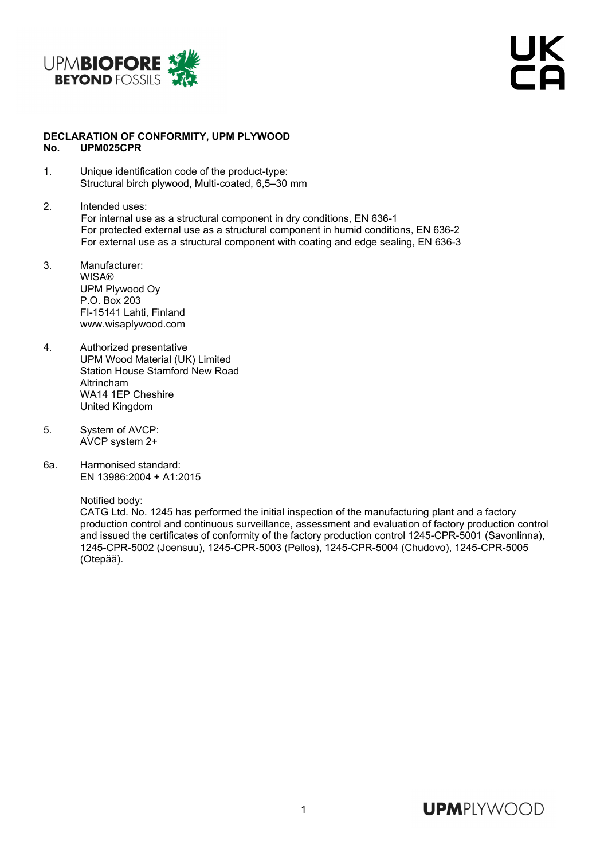

## **DECLARATION OF CONFORMITY, UPM PLYWOOD No. UPM025CPR**

- 1. Unique identification code of the product-type: Structural birch plywood, Multi-coated, 6,5–30 mm
- 2. Intended uses: For internal use as a structural component in dry conditions, EN 636-1 For protected external use as a structural component in humid conditions, EN 636-2 For external use as a structural component with coating and edge sealing, EN 636-3
- 3. Manufacturer: WISA® UPM Plywood Oy P.O. Box 203 FI-15141 Lahti, Finland www.wisaplywood.com
- 4. Authorized presentative UPM Wood Material (UK) Limited Station House Stamford New Road Altrincham WA14 1EP Cheshire United Kingdom
- 5. System of AVCP: AVCP system 2+
- 6a. Harmonised standard: EN 13986:2004 + A1:2015

Notified body:

 CATG Ltd. No. 1245 has performed the initial inspection of the manufacturing plant and a factory production control and continuous surveillance, assessment and evaluation of factory production control and issued the certificates of conformity of the factory production control 1245-CPR-5001 (Savonlinna), 1245-CPR-5002 (Joensuu), 1245-CPR-5003 (Pellos), 1245-CPR-5004 (Chudovo), 1245-CPR-5005 (Otepää).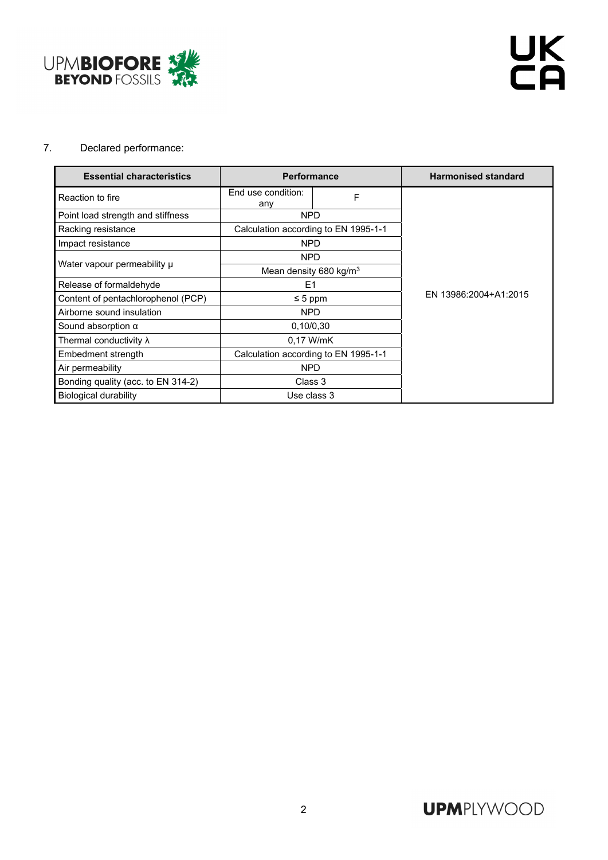

## 7. Declared performance:

| <b>Essential characteristics</b>   | Performance                          |   | <b>Harmonised standard</b> |  |  |  |
|------------------------------------|--------------------------------------|---|----------------------------|--|--|--|
| Reaction to fire                   | End use condition:<br>any            | F |                            |  |  |  |
| Point load strength and stiffness  | <b>NPD</b>                           |   |                            |  |  |  |
| Racking resistance                 | Calculation according to EN 1995-1-1 |   |                            |  |  |  |
| Impact resistance                  | <b>NPD</b>                           |   |                            |  |  |  |
| Water vapour permeability µ        | <b>NPD</b>                           |   |                            |  |  |  |
|                                    | Mean density 680 kg/m <sup>3</sup>   |   |                            |  |  |  |
| Release of formaldehyde            | E <sub>1</sub>                       |   |                            |  |  |  |
| Content of pentachlorophenol (PCP) | $\leq 5$ ppm                         |   | EN 13986:2004+A1:2015      |  |  |  |
| Airborne sound insulation          | <b>NPD</b>                           |   |                            |  |  |  |
| Sound absorption $\alpha$          | 0,10/0,30                            |   |                            |  |  |  |
| Thermal conductivity $\lambda$     | 0.17 W/mK                            |   |                            |  |  |  |
| Embedment strength                 | Calculation according to EN 1995-1-1 |   |                            |  |  |  |
| Air permeability                   | <b>NPD</b>                           |   |                            |  |  |  |
| Bonding quality (acc. to EN 314-2) | Class 3                              |   |                            |  |  |  |
| <b>Biological durability</b>       | Use class 3                          |   |                            |  |  |  |